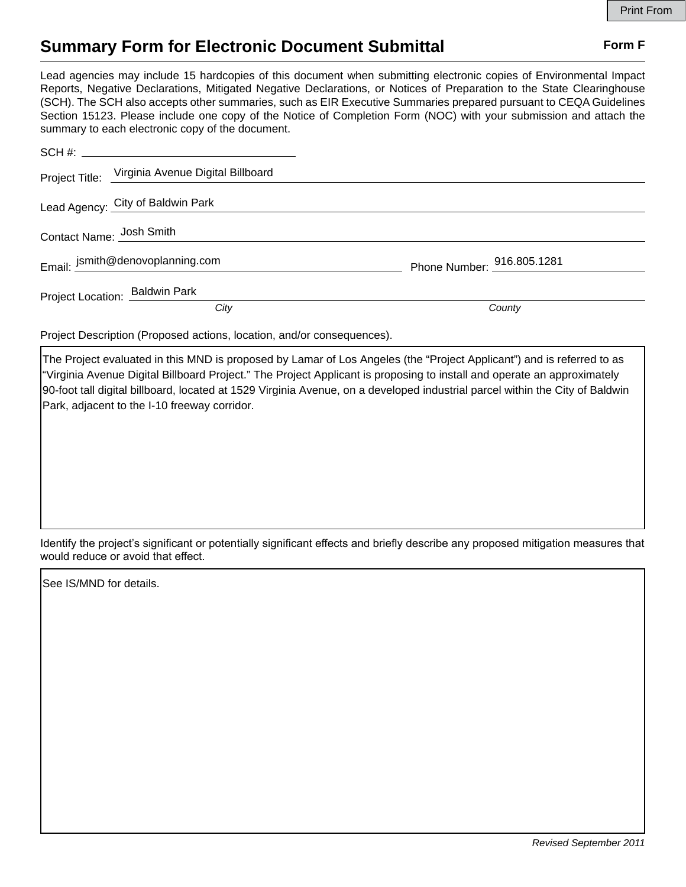## **Summary Form for Electronic Document Submittal Form F Form F**

Lead agencies may include 15 hardcopies of this document when submitting electronic copies of Environmental Impact Reports, Negative Declarations, Mitigated Negative Declarations, or Notices of Preparation to the State Clearinghouse (SCH). The SCH also accepts other summaries, such as EIR Executive Summaries prepared pursuant to CEQA Guidelines Section 15123. Please include one copy of the Notice of Completion Form (NOC) with your submission and attach the summary to each electronic copy of the document.

|                          | Project Title: Virginia Avenue Digital Billboard |                            |
|--------------------------|--------------------------------------------------|----------------------------|
|                          | Lead Agency: City of Baldwin Park                |                            |
| Contact Name: Josh Smith |                                                  |                            |
|                          | Email: jsmith@denovoplanning.com                 | Phone Number: 916.805.1281 |
|                          | Project Location: Baldwin Park                   |                            |
|                          | City                                             | County                     |

Project Description (Proposed actions, location, and/or consequences).

The Project evaluated in this MND is proposed by Lamar of Los Angeles (the "Project Applicant") and is referred to as "Virginia Avenue Digital Billboard Project." The Project Applicant is proposing to install and operate an approximately 90-foot tall digital billboard, located at 1529 Virginia Avenue, on a developed industrial parcel within the City of Baldwin Park, adjacent to the I-10 freeway corridor.

Identify the project's significant or potentially significant effects and briefly describe any proposed mitigation measures that would reduce or avoid that effect.

See IS/MND for details.